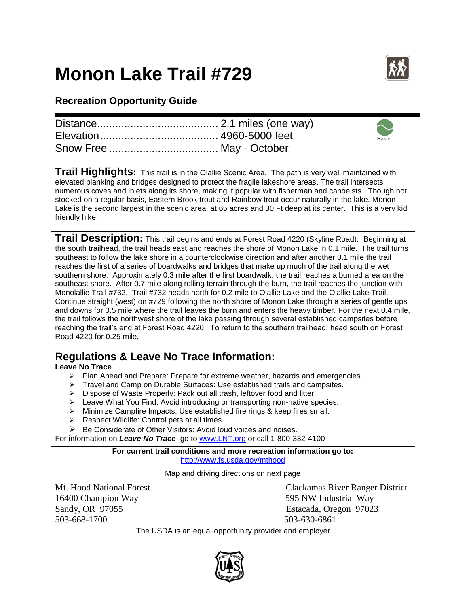## **Monon Lake Trail #729**



Easier

## **Recreation Opportunity Guide**

**Trail Highlights:** This trail is in the Olallie Scenic Area. The path is very well maintained with elevated planking and bridges designed to protect the fragile lakeshore areas. The trail intersects numerous coves and inlets along its shore, making it popular with fisherman and canoeists. Though not stocked on a regular basis, Eastern Brook trout and Rainbow trout occur naturally in the lake. Monon Lake is the second largest in the scenic area, at 65 acres and 30 Ft deep at its center. This is a very kid friendly hike.

**Trail Description:** This trail begins and ends at Forest Road 4220 (Skyline Road). Beginning at the south trailhead, the trail heads east and reaches the shore of Monon Lake in 0.1 mile. The trail turns southeast to follow the lake shore in a counterclockwise direction and after another 0.1 mile the trail reaches the first of a series of boardwalks and bridges that make up much of the trail along the wet southern shore. Approximately 0.3 mile after the first boardwalk, the trail reaches a burned area on the southeast shore. After 0.7 mile along rolling terrain through the burn, the trail reaches the junction with Monolallie Trail #732. Trail #732 heads north for 0.2 mile to Olallie Lake and the Olallie Lake Trail. Continue straight (west) on #729 following the north shore of Monon Lake through a series of gentle ups and downs for 0.5 mile where the trail leaves the burn and enters the heavy timber. For the next 0.4 mile, the trail follows the northwest shore of the lake passing through several established campsites before reaching the trail's end at Forest Road 4220. To return to the southern trailhead, head south on Forest Road 4220 for 0.25 mile.

## **Regulations & Leave No Trace Information:**

## **Leave No Trace**

- $\triangleright$  Plan Ahead and Prepare: Prepare for extreme weather, hazards and emergencies.
- Travel and Camp on Durable Surfaces: Use established trails and campsites.
- ▶ Dispose of Waste Properly: Pack out all trash, leftover food and litter.
- $\triangleright$  Leave What You Find: Avoid introducing or transporting non-native species.
- Minimize Campfire Impacts: Use established fire rings & keep fires small.
- $\triangleright$  Respect Wildlife: Control pets at all times.
- $\triangleright$  Be Considerate of Other Visitors: Avoid loud voices and noises.

For information on *Leave No Trace*, go to [www.LNT.org](http://www.lnt.org/) or call 1-800-332-4100

**For current trail conditions and more recreation information go to:** <http://www.fs.usda.gov/mthood>

Map and driving directions on next page

16400 Champion Way 595 NW Industrial Way Sandy, OR 97055 Estacada, Oregon 97023 503-668-1700 503-630-6861

Mt. Hood National Forest Clackamas River Ranger District

The USDA is an equal opportunity provider and employer.